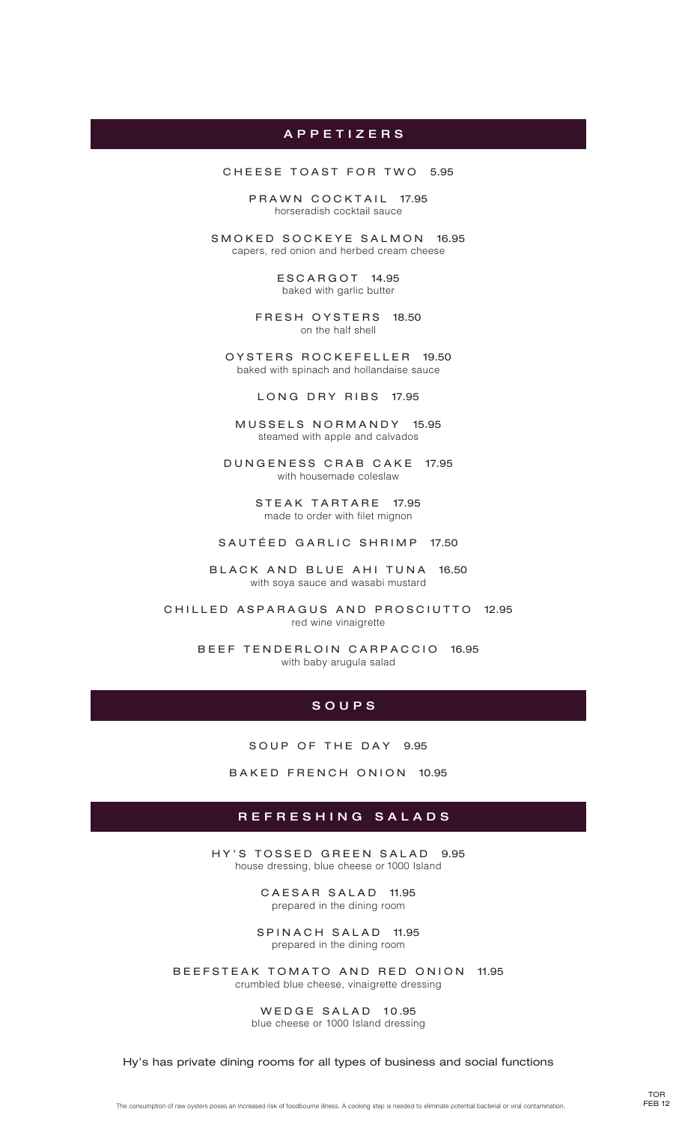### A p p e t i z e r s

CHEESE TOAST FOR TWO 5.95

PRAWN COCKTAIL 17.95 horseradish cocktail sauce

SMOKED SOCKEYE SALMON 16.95 capers, red onion and herbed cream cheese

> ESCARGOT 14.95 baked with garlic butter

FRESH OYSTERS 18.50 on the half shell

OYSTERS ROCKEFELLER 19.50 baked with spinach and hollandaise sauce

LONG DRY RIBS 17.95

MUSSELS NORMANDY 15.95 steamed with apple and calvados

DUNGENESS CRAB CAKE 17.95 with housemade coleslaw

> STEAK TARTARE 17.95 made to order with filet mignon

SAUTÉED GARLIC SHRIMP 17.50

BLACK AND BLUE AHI TUNA 16.50 with soya sauce and wasabi mustard

CHILLED ASPARAGUS AND PROSCIUTTO 12.95 red wine vinaigrette

> BEEF TENDERLOIN CARPACCIO 16.95 with baby arugula salad

#### s o u p s

SOUP OF THE DAY 9.95

BAKED FRENCH ONION 10.95

#### r e f r e s h i n g s a l a d s

HY'S TOSSED GREEN SALAD 9.95 house dressing, blue cheese or 1000 Island

> CAESAR SALAD 11.95 prepared in the dining room

SPINACH SALAD 11.95 prepared in the dining room

B EEFSTEAK TOMATO AND RED ONION 11.95 crumbled blue cheese, vinaigrette dressing

> WEDGE SALAD 10.95 blue cheese or 1000 Island dressing

Hy's has private dining rooms for all types of business and social functions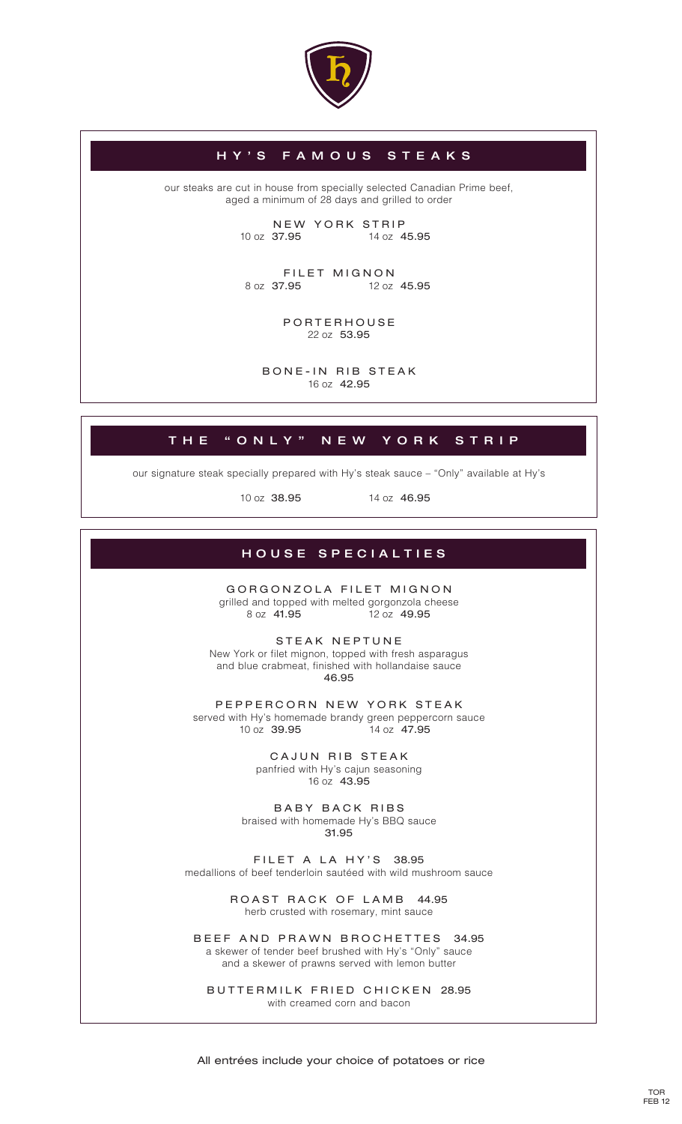

## H Y ' S f a m o u s s t e a k s

our steaks are cut in house from specially selected Canadian Prime beef, aged a minimum of 28 days and grilled to order

> NEW YORK STRIP 10 oz 37.95 14 oz 45.95

FILET MIGNON<br>8 oz 37.95 12 oz

12 oz 45.95

PORTERHOUSE 22 oz 53.95

BONE-IN RIB STEAK 16 oz 42.95

# THE "ONLY" NEW YORK STRIP

our signature steak specially prepared with Hy's steak sauce – "Only" available at Hy's

10 oz 38.95 14 oz 46.95

## HOUSE SPECIALTIES

GORGONZOLA FILET MIGNON grilled and topped with melted gorgonzola cheese 8 oz 41.95 12 oz 49.95

STEAK NEPTUNE New York or filet mignon, topped with fresh asparagus and blue crabmeat, finished with hollandaise sauce 46.95

PEPPERCORN NEW YORK STEAK served with Hy's homemade brandy green peppercorn sauce 10 oz 39.95 14 oz 47.95

> CAJUN RIB STEAK panfried with Hy's cajun seasoning 16 oz 43.95

BABY BACK RIBS braised with homemade Hy's BBQ sauce 31.95

FILET A LA HY'S 38.95 medallions of beef tenderloin sautéed with wild mushroom sauce

> ROAST RACK OF LAMB 44.95 herb crusted with rosemary, mint sauce

BEEF AND PRAWN BROCHETTES 34.95 a skewer of tender beef brushed with Hy's "Only" sauce and a skewer of prawns served with lemon butter

BUTTERMILK FRIED CHICKEN 28.95 with creamed corn and bacon